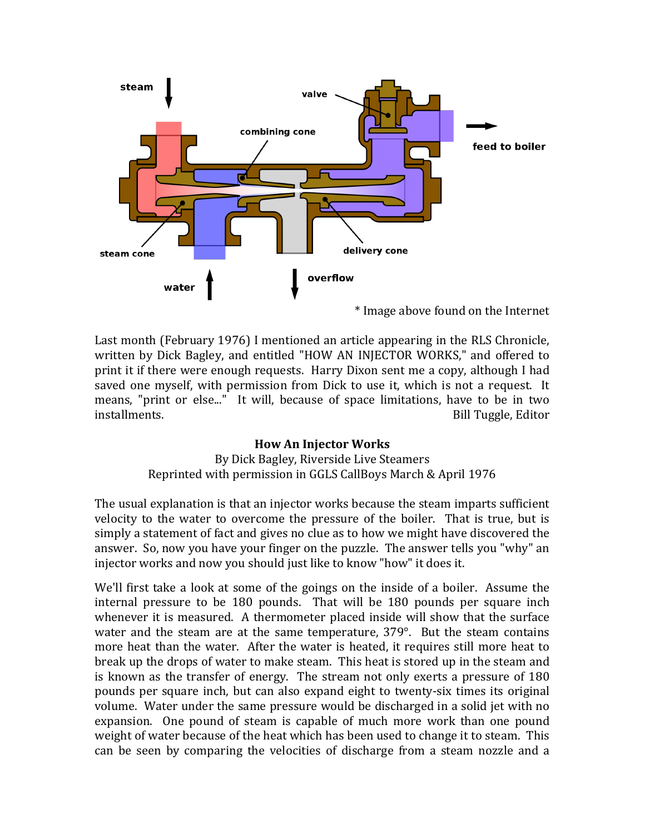

Last month (February 1976) I mentioned an article appearing in the RLS Chronicle, written by Dick Bagley, and entitled "HOW AN INJECTOR WORKS," and offered to print it if there were enough requests. Harry Dixon sent me a copy, although I had saved one myself, with permission from Dick to use it, which is not a request. It means, "print or else..." It will, because of space limitations, have to be in two installments. The contract of the contract of the contract of the contract of the contract of the contract of the contract of the contract of the contract of the contract of the contract of the contract of the contract of

## **How An Injector Works**

By Dick Bagley, Riverside Live Steamers Reprinted with permission in GGLS CallBoys March & April 1976

The usual explanation is that an injector works because the steam imparts sufficient velocity to the water to overcome the pressure of the boiler. That is true, but is simply a statement of fact and gives no clue as to how we might have discovered the answer. So, now you have your finger on the puzzle. The answer tells you "why" an injector works and now you should just like to know "how" it does it.

We'll first take a look at some of the goings on the inside of a boiler. Assume the internal pressure to be 180 pounds. That will be 180 pounds per square inch whenever it is measured. A thermometer placed inside will show that the surface water and the steam are at the same temperature,  $379^\circ$ . But the steam contains more heat than the water. After the water is heated, it requires still more heat to break up the drops of water to make steam. This heat is stored up in the steam and is known as the transfer of energy. The stream not only exerts a pressure of 180 pounds per square inch, but can also expand eight to twenty-six times its original volume. Water under the same pressure would be discharged in a solid jet with no expansion. One pound of steam is capable of much more work than one pound weight of water because of the heat which has been used to change it to steam. This can be seen by comparing the velocities of discharge from a steam nozzle and a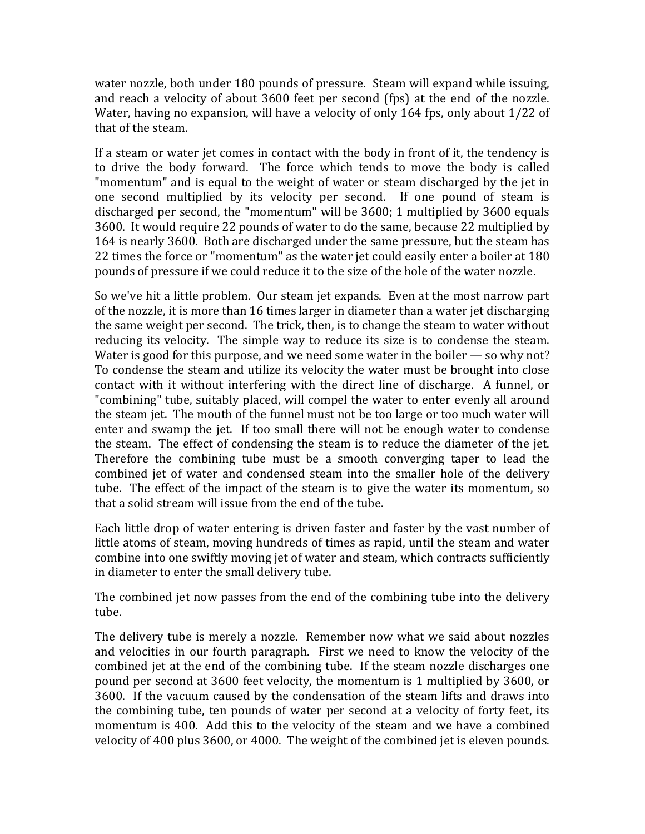water nozzle, both under  $180$  pounds of pressure. Steam will expand while issuing, and reach a velocity of about 3600 feet per second (fps) at the end of the nozzle. Water, having no expansion, will have a velocity of only  $164$  fps, only about  $1/22$  of that of the steam.

If a steam or water jet comes in contact with the body in front of it, the tendency is to drive the body forward. The force which tends to move the body is called "momentum" and is equal to the weight of water or steam discharged by the jet in one second multiplied by its velocity per second. If one pound of steam is discharged per second, the "momentum" will be 3600; 1 multiplied by 3600 equals 3600. It would require 22 pounds of water to do the same, because 22 multiplied by 164 is nearly 3600. Both are discharged under the same pressure, but the steam has 22 times the force or "momentum" as the water jet could easily enter a boiler at 180 pounds of pressure if we could reduce it to the size of the hole of the water nozzle.

So we've hit a little problem. Our steam jet expands. Even at the most narrow part of the nozzle, it is more than 16 times larger in diameter than a water jet discharging the same weight per second. The trick, then, is to change the steam to water without reducing its velocity. The simple way to reduce its size is to condense the steam. Water is good for this purpose, and we need some water in the boiler  $-$  so why not? To condense the steam and utilize its velocity the water must be brought into close contact with it without interfering with the direct line of discharge. A funnel, or "combining" tube, suitably placed, will compel the water to enter evenly all around the steam jet. The mouth of the funnel must not be too large or too much water will enter and swamp the jet. If too small there will not be enough water to condense the steam. The effect of condensing the steam is to reduce the diameter of the jet. Therefore the combining tube must be a smooth converging taper to lead the combined jet of water and condensed steam into the smaller hole of the delivery tube. The effect of the impact of the steam is to give the water its momentum, so that a solid stream will issue from the end of the tube.

Each little drop of water entering is driven faster and faster by the vast number of little atoms of steam, moving hundreds of times as rapid, until the steam and water combine into one swiftly moving jet of water and steam, which contracts sufficiently in diameter to enter the small delivery tube.

The combined jet now passes from the end of the combining tube into the delivery tube.

The delivery tube is merely a nozzle. Remember now what we said about nozzles and velocities in our fourth paragraph. First we need to know the velocity of the combined jet at the end of the combining tube. If the steam nozzle discharges one pound per second at 3600 feet velocity, the momentum is 1 multiplied by 3600, or 3600. If the vacuum caused by the condensation of the steam lifts and draws into the combining tube, ten pounds of water per second at a velocity of forty feet, its momentum is 400. Add this to the velocity of the steam and we have a combined velocity of 400 plus 3600, or 4000. The weight of the combined jet is eleven pounds.